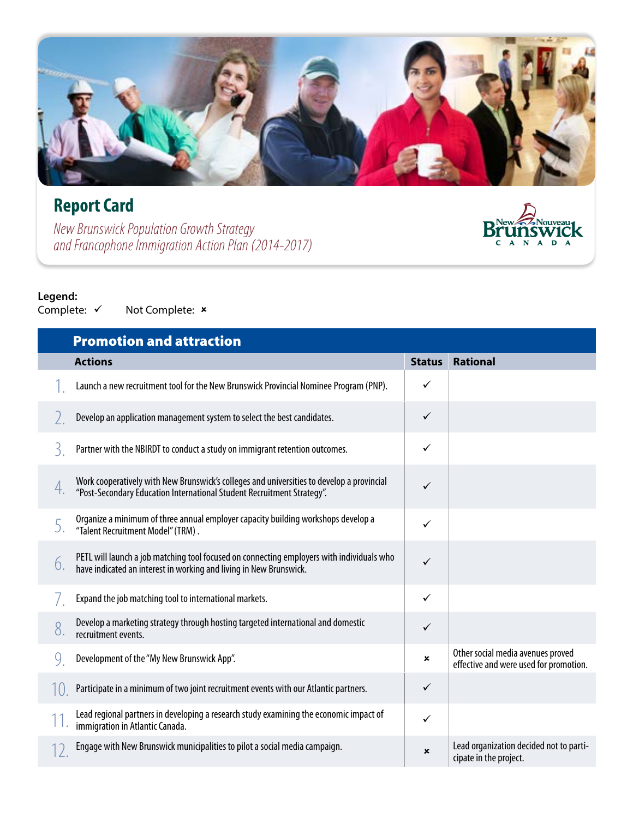## **Report Card**

*New Brunswick Population Growth Strategy and Francophone Immigration Action Plan (2014-2017)*

# $\sum_{\substack{c \text{ A} \text{ N} \text{ A} \text{ D} \text{ A}}}^{\text{New}} \sum_{\substack{N \text{ A} \text{ D} \text{ A}}}^{\text{Now}}} N$

**Legend:**<br>Complete:  $\checkmark$ Not Complete: x

|    | <b>Promotion and attraction</b>                                                                                                                                     |               |                                                                             |
|----|---------------------------------------------------------------------------------------------------------------------------------------------------------------------|---------------|-----------------------------------------------------------------------------|
|    | <b>Actions</b>                                                                                                                                                      | <b>Status</b> | <b>Rational</b>                                                             |
|    | Launch a new recruitment tool for the New Brunswick Provincial Nominee Program (PNP).                                                                               | ✓             |                                                                             |
|    | Develop an application management system to select the best candidates.                                                                                             | $\checkmark$  |                                                                             |
| 3  | Partner with the NBIRDT to conduct a study on immigrant retention outcomes.                                                                                         | ✓             |                                                                             |
| 4. | Work cooperatively with New Brunswick's colleges and universities to develop a provincial<br>"Post-Secondary Education International Student Recruitment Strategy". | ✓             |                                                                             |
|    | Organize a minimum of three annual employer capacity building workshops develop a<br>"Talent Recruitment Model" (TRM).                                              | ✓             |                                                                             |
| 6. | PETL will launch a job matching tool focused on connecting employers with individuals who<br>have indicated an interest in working and living in New Brunswick.     | $\checkmark$  |                                                                             |
|    | Expand the job matching tool to international markets.                                                                                                              | ✓             |                                                                             |
| 8  | Develop a marketing strategy through hosting targeted international and domestic<br>recruitment events.                                                             | $\checkmark$  |                                                                             |
| 9  | Development of the "My New Brunswick App".                                                                                                                          | ×             | Other social media avenues proved<br>effective and were used for promotion. |
|    | Participate in a minimum of two joint recruitment events with our Atlantic partners.                                                                                | $\checkmark$  |                                                                             |
|    | Lead regional partners in developing a research study examining the economic impact of<br>immigration in Atlantic Canada.                                           | $\checkmark$  |                                                                             |
|    | Engage with New Brunswick municipalities to pilot a social media campaign.                                                                                          | ×             | Lead organization decided not to parti-<br>cipate in the project.           |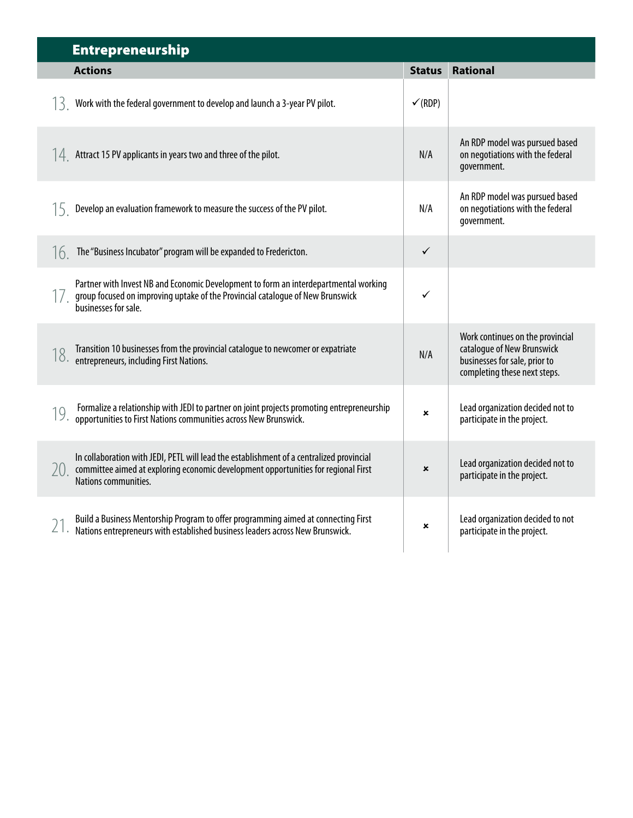|     | <b>Entrepreneurship</b>                                                                                                                                                                                |                    |                                                                                                                                 |
|-----|--------------------------------------------------------------------------------------------------------------------------------------------------------------------------------------------------------|--------------------|---------------------------------------------------------------------------------------------------------------------------------|
|     | <b>Actions</b>                                                                                                                                                                                         | <b>Status</b>      | <b>Rational</b>                                                                                                                 |
|     | $\sqrt{3}$ Work with the federal government to develop and launch a 3-year PV pilot.                                                                                                                   | $\checkmark$ (RDP) |                                                                                                                                 |
|     | $\sqrt{14}$ Attract 15 PV applicants in years two and three of the pilot.                                                                                                                              | N/A                | An RDP model was pursued based<br>on negotiations with the federal<br>government.                                               |
|     | $15$ Develop an evaluation framework to measure the success of the PV pilot.                                                                                                                           | N/A                | An RDP model was pursued based<br>on negotiations with the federal<br>government.                                               |
|     | $16$ The "Business Incubator" program will be expanded to Fredericton.                                                                                                                                 | $\checkmark$       |                                                                                                                                 |
|     | Partner with Invest NB and Economic Development to form an interdepartmental working<br>group focused on improving uptake of the Provincial catalogue of New Brunswick<br>businesses for sale.         | ✓                  |                                                                                                                                 |
|     | Transition 10 businesses from the provincial catalogue to newcomer or expatriate<br>18. Industrial Local Concession                                                                                    | N/A                | Work continues on the provincial<br>catalogue of New Brunswick<br>businesses for sale, prior to<br>completing these next steps. |
|     | Formalize a relationship with JEDI to partner on joint projects promoting entrepreneurship<br>19. <b><i>COLLUBRACE &amp; CONCULTRY COLLECTION COMMUNITIES ACTOSS New Brunswick.</i></b>                | $\pmb{\times}$     | Lead organization decided not to<br>participate in the project.                                                                 |
| 20. | In collaboration with JEDI, PETL will lead the establishment of a centralized provincial<br>committee aimed at exploring economic development opportunities for regional First<br>Nations communities. | $\mathbf x$        | Lead organization decided not to<br>participate in the project.                                                                 |
|     | Build a Business Mentorship Program to offer programming aimed at connecting First<br>Nations entrepreneurs with established business leaders across New Brunswick.                                    | ×                  | Lead organization decided to not<br>participate in the project.                                                                 |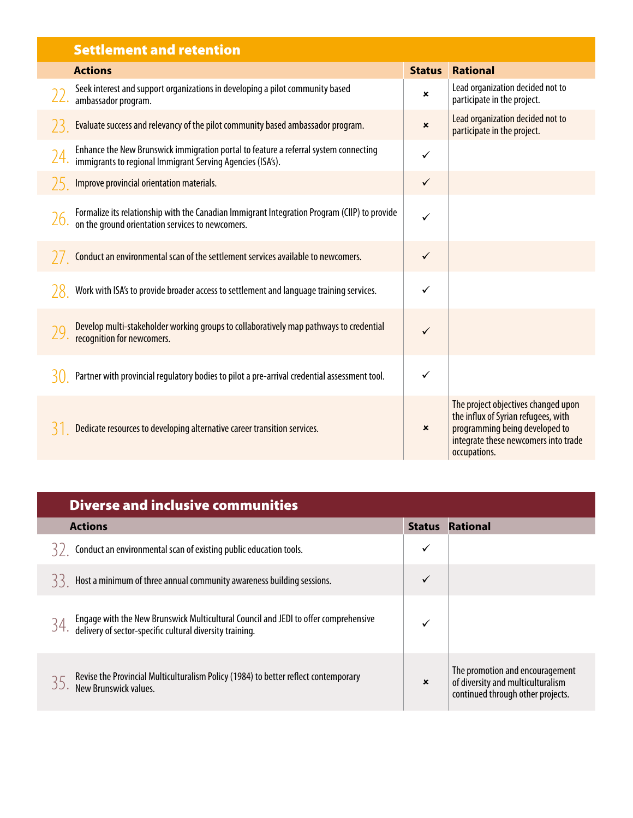|    | <b>Settlement and retention</b>                                                                                                                    |                |                                                                                                                                                                      |
|----|----------------------------------------------------------------------------------------------------------------------------------------------------|----------------|----------------------------------------------------------------------------------------------------------------------------------------------------------------------|
|    | <b>Actions</b>                                                                                                                                     | <b>Status</b>  | <b>Rational</b>                                                                                                                                                      |
|    | Seek interest and support organizations in developing a pilot community based<br>ambassador program.                                               | ×              | Lead organization decided not to<br>participate in the project.                                                                                                      |
|    | Evaluate success and relevancy of the pilot community based ambassador program.                                                                    | $\pmb{\times}$ | Lead organization decided not to<br>participate in the project.                                                                                                      |
|    | Enhance the New Brunswick immigration portal to feature a referral system connecting<br>immigrants to regional Immigrant Serving Agencies (ISA's). | ✓              |                                                                                                                                                                      |
|    | Improve provincial orientation materials.                                                                                                          | $\checkmark$   |                                                                                                                                                                      |
|    | Formalize its relationship with the Canadian Immigrant Integration Program (CIIP) to provide<br>on the ground orientation services to newcomers.   | ✓              |                                                                                                                                                                      |
|    | Conduct an environmental scan of the settlement services available to newcomers.                                                                   | $\checkmark$   |                                                                                                                                                                      |
|    | Work with ISA's to provide broader access to settlement and language training services.                                                            | $\checkmark$   |                                                                                                                                                                      |
|    | Develop multi-stakeholder working groups to collaboratively map pathways to credential<br>recognition for newcomers.                               | ✓              |                                                                                                                                                                      |
| 30 | Partner with provincial regulatory bodies to pilot a pre-arrival credential assessment tool.                                                       | $\checkmark$   |                                                                                                                                                                      |
|    | Dedicate resources to developing alternative career transition services.                                                                           | $\pmb{\times}$ | The project objectives changed upon<br>the influx of Syrian refugees, with<br>programming being developed to<br>integrate these newcomers into trade<br>occupations. |

### Diverse and inclusive communities

| <b>Actions</b>                                                                                                                                  | <b>Status</b> | <b>Rational</b>                                                                                           |
|-------------------------------------------------------------------------------------------------------------------------------------------------|---------------|-----------------------------------------------------------------------------------------------------------|
| Conduct an environmental scan of existing public education tools.<br>К,                                                                         |               |                                                                                                           |
| Host a minimum of three annual community awareness building sessions.<br>くく                                                                     |               |                                                                                                           |
| Engage with the New Brunswick Multicultural Council and JEDI to offer comprehensive<br>delivery of sector-specific cultural diversity training. |               |                                                                                                           |
| Revise the Provincial Multiculturalism Policy (1984) to better reflect contemporary<br>New Brunswick values.                                    | $\mathbf x$   | The promotion and encouragement<br>of diversity and multiculturalism<br>continued through other projects. |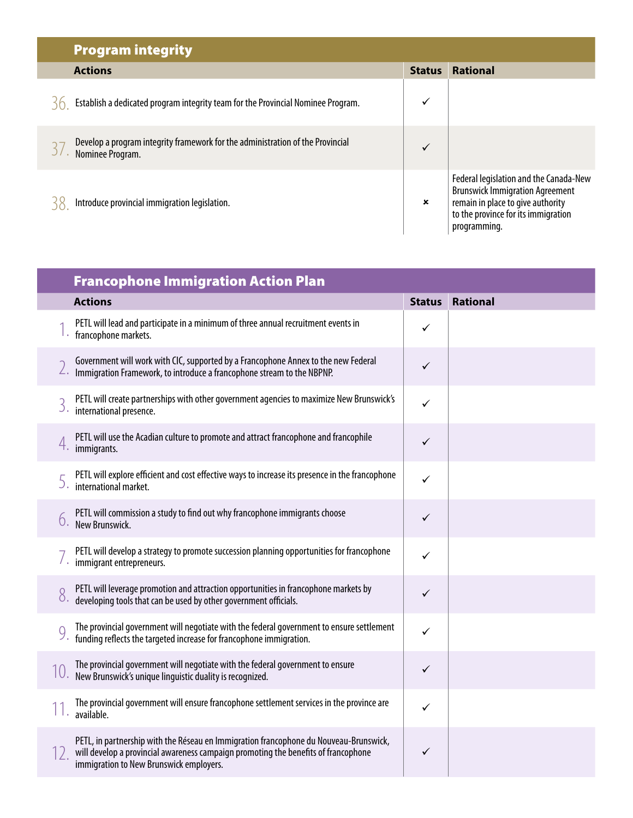| <b>Program integrity</b>                                                                           |                           |                                                                                                                                                                              |
|----------------------------------------------------------------------------------------------------|---------------------------|------------------------------------------------------------------------------------------------------------------------------------------------------------------------------|
| <b>Actions</b>                                                                                     | <b>Status</b>             | <b>Rational</b>                                                                                                                                                              |
| Establish a dedicated program integrity team for the Provincial Nominee Program.                   | $\checkmark$              |                                                                                                                                                                              |
| Develop a program integrity framework for the administration of the Provincial<br>Nominee Program. | $\checkmark$              |                                                                                                                                                                              |
| Introduce provincial immigration legislation.                                                      | $\boldsymbol{\mathsf{x}}$ | Federal legislation and the Canada-New<br><b>Brunswick Immigration Agreement</b><br>remain in place to give authority<br>to the province for its immigration<br>programming. |

 $\overline{\phantom{a}}$ 

|    | <b>Francophone Immigration Action Plan</b>                                                                                                                                                                             |               |          |  |  |
|----|------------------------------------------------------------------------------------------------------------------------------------------------------------------------------------------------------------------------|---------------|----------|--|--|
|    | <b>Actions</b>                                                                                                                                                                                                         | <b>Status</b> | Rational |  |  |
|    | PETL will lead and participate in a minimum of three annual recruitment events in<br>francophone markets.                                                                                                              | ✓             |          |  |  |
|    | Government will work with CIC, supported by a Francophone Annex to the new Federal<br>Immigration Framework, to introduce a francophone stream to the NBPNP.                                                           | $\checkmark$  |          |  |  |
| 3. | PETL will create partnerships with other government agencies to maximize New Brunswick's<br>international presence.                                                                                                    | ✓             |          |  |  |
|    | PETL will use the Acadian culture to promote and attract francophone and francophile<br>4. immigrants.                                                                                                                 | ✓             |          |  |  |
|    | PETL will explore efficient and cost effective ways to increase its presence in the francophone<br>international market.                                                                                               | ✓             |          |  |  |
|    | PETL will commission a study to find out why francophone immigrants choose<br><b>6.</b> New Brunswick.                                                                                                                 | $\checkmark$  |          |  |  |
|    | PETL will develop a strategy to promote succession planning opportunities for francophone<br>immigrant entrepreneurs.                                                                                                  | ✓             |          |  |  |
|    | PETL will leverage promotion and attraction opportunities in francophone markets by<br>developing tools that can be used by other government officials.                                                                | $\checkmark$  |          |  |  |
|    | The provincial government will negotiate with the federal government to ensure settlement<br>funding reflects the targeted increase for francophone immigration.                                                       | $\checkmark$  |          |  |  |
|    | The provincial government will negotiate with the federal government to ensure<br>10. Ine provincial government can in good and it is recognized.                                                                      | $\checkmark$  |          |  |  |
|    | The provincial government will ensure francophone settlement services in the province are<br>available.                                                                                                                | $\checkmark$  |          |  |  |
|    | PETL, in partnership with the Réseau en Immigration francophone du Nouveau-Brunswick,<br>will develop a provincial awareness campaign promoting the benefits of francophone<br>immigration to New Brunswick employers. | $\checkmark$  |          |  |  |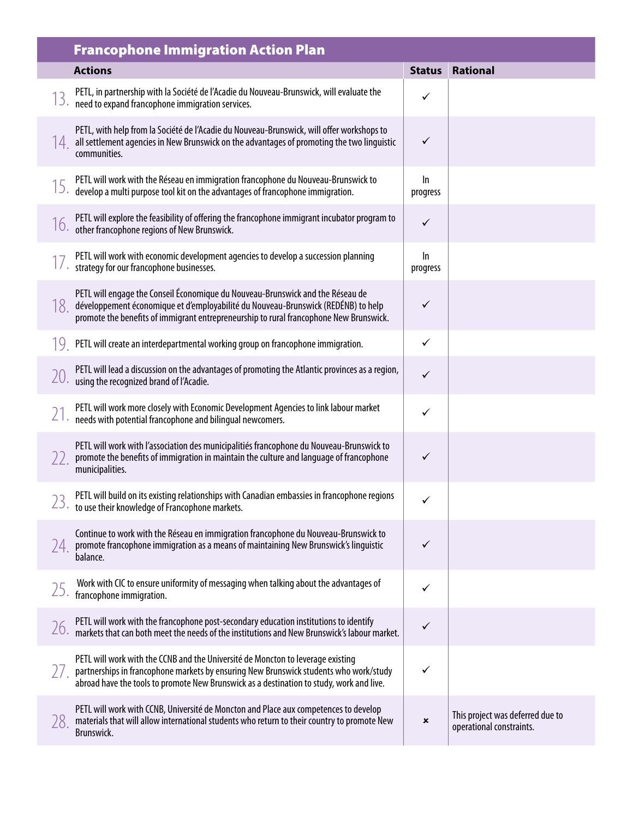|     | <b>Francophone Immigration Action Plan</b>                                                                                                                                                                                                                           |                |                                                              |
|-----|----------------------------------------------------------------------------------------------------------------------------------------------------------------------------------------------------------------------------------------------------------------------|----------------|--------------------------------------------------------------|
|     | <b>Actions</b>                                                                                                                                                                                                                                                       | <b>Status</b>  | <b>Rational</b>                                              |
|     | PETL, in partnership with la Société de l'Acadie du Nouveau-Brunswick, will evaluate the<br>need to expand francophone immigration services.                                                                                                                         | ✓              |                                                              |
| 14. | PETL, with help from la Société de l'Acadie du Nouveau-Brunswick, will offer workshops to<br>all settlement agencies in New Brunswick on the advantages of promoting the two linguistic<br>communities.                                                              | $\checkmark$   |                                                              |
|     | PETL will work with the Réseau en immigration francophone du Nouveau-Brunswick to<br>develop a multi purpose tool kit on the advantages of francophone immigration.                                                                                                  | In<br>progress |                                                              |
|     | PETL will explore the feasibility of offering the francophone immigrant incubator program to<br>other francophone regions of New Brunswick.                                                                                                                          | $\checkmark$   |                                                              |
|     | PETL will work with economic development agencies to develop a succession planning<br>strategy for our francophone businesses.                                                                                                                                       | In<br>progress |                                                              |
| 18. | PETL will engage the Conseil Économique du Nouveau-Brunswick and the Réseau de<br>développement économique et d'employabilité du Nouveau-Brunswick (REDÉNB) to help<br>promote the benefits of immigrant entrepreneurship to rural francophone New Brunswick.        | ✓              |                                                              |
|     | PETL will create an interdepartmental working group on francophone immigration.                                                                                                                                                                                      | $\checkmark$   |                                                              |
|     | PETL will lead a discussion on the advantages of promoting the Atlantic provinces as a region,<br>using the recognized brand of l'Acadie.                                                                                                                            | ✓              |                                                              |
|     | PETL will work more closely with Economic Development Agencies to link labour market<br>needs with potential francophone and bilingual newcomers.                                                                                                                    | ✓              |                                                              |
|     | PETL will work with l'association des municipalitiés francophone du Nouveau-Brunswick to<br>promote the benefits of immigration in maintain the culture and language of francophone<br>municipalities.                                                               | ✓              |                                                              |
| าว⊹ | PETL will build on its existing relationships with Canadian embassies in francophone regions<br>$\angle$ 5. to use their knowledge of Francophone markets.                                                                                                           | ╱              |                                                              |
| 74. | Continue to work with the Réseau en immigration francophone du Nouveau-Brunswick to<br>promote francophone immigration as a means of maintaining New Brunswick's linguistic<br>balance.                                                                              | $\checkmark$   |                                                              |
| 25. | Work with CIC to ensure uniformity of messaging when talking about the advantages of<br>francophone immigration.                                                                                                                                                     | ✓              |                                                              |
| 26. | PETL will work with the francophone post-secondary education institutions to identify<br>markets that can both meet the needs of the institutions and New Brunswick's labour market.                                                                                 | ✓              |                                                              |
|     | PETL will work with the CCNB and the Université de Moncton to leverage existing<br>partnerships in francophone markets by ensuring New Brunswick students who work/study<br>abroad have the tools to promote New Brunswick as a destination to study, work and live. | ✓              |                                                              |
| 28. | PETL will work with CCNB, Université de Moncton and Place aux competences to develop<br>materials that will allow international students who return to their country to promote New<br>Brunswick.                                                                    | ×              | This project was deferred due to<br>operational constraints. |